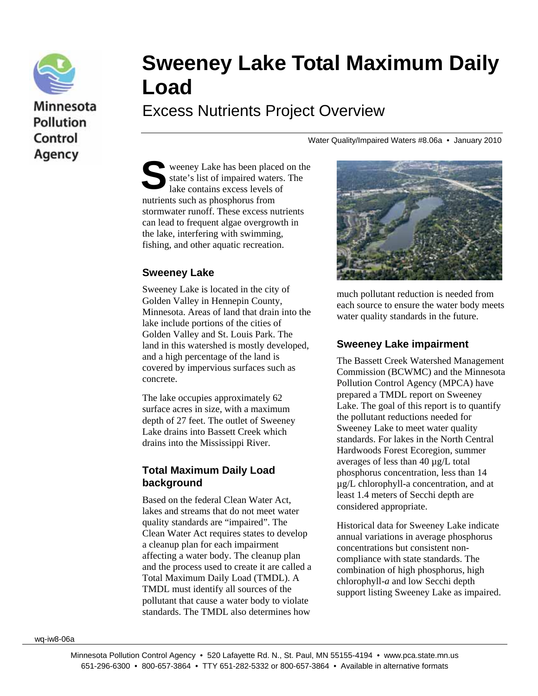

# Minnesota **Pollution** Control Agency

# **Sweeney Lake Total Maximum Daily Load**

Excess Nutrients Project Overview

Water Quality/Impaired Waters #8.06a • January 2010

weeney Lake has been placed on the state's list of impaired waters. The lake contains excess levels of nutrients such as phosphorus from stormwater runoff. These excess nutrients can lead to frequent algae overgrowth in the lake, interfering with swimming, fishing, and other aquatic recreation. S

#### **Sweeney Lake**

Sweeney Lake is located in the city of Golden Valley in Hennepin County, Minnesota. Areas of land that drain into the lake include portions of the cities of Golden Valley and St. Louis Park. The land in this watershed is mostly developed, and a high percentage of the land is covered by impervious surfaces such as concrete.

The lake occupies approximately 62 surface acres in size, with a maximum depth of 27 feet. The outlet of Sweeney Lake drains into Bassett Creek which drains into the Mississippi River.

#### **Total Maximum Daily Load background**

Based on the federal Clean Water Act, lakes and streams that do not meet water quality standards are "impaired". The Clean Water Act requires states to develop a cleanup plan for each impairment affecting a water body. The cleanup plan and the process used to create it are called a Total Maximum Daily Load (TMDL). A TMDL must identify all sources of the pollutant that cause a water body to violate standards. The TMDL also determines how



much pollutant reduction is needed from each source to ensure the water body meets water quality standards in the future.

#### **Sweeney Lake impairment**

The Bassett Creek Watershed Management Commission (BCWMC) and the Minnesota Pollution Control Agency (MPCA) have prepared a TMDL report on Sweeney Lake. The goal of this report is to quantify the pollutant reductions needed for Sweeney Lake to meet water quality standards. For lakes in the North Central Hardwoods Forest Ecoregion, summer averages of less than 40 µg/L total phosphorus concentration, less than 14 µg/L chlorophyll-a concentration, and at least 1.4 meters of Secchi depth are considered appropriate.

Historical data for Sweeney Lake indicate annual variations in average phosphorus concentrations but consistent noncompliance with state standards. The combination of high phosphorus, high chlorophyll-*a* and low Secchi depth support listing Sweeney Lake as impaired.

wq-iw8-06a